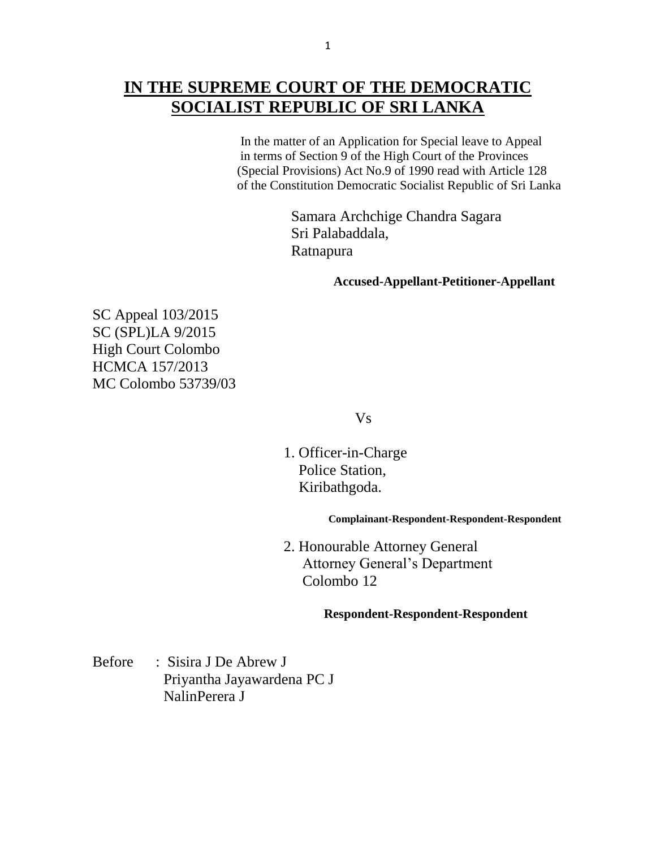# **IN THE SUPREME COURT OF THE DEMOCRATIC SOCIALIST REPUBLIC OF SRI LANKA**

 In the matter of an Application for Special leave to Appeal in terms of Section 9 of the High Court of the Provinces (Special Provisions) Act No.9 of 1990 read with Article 128 of the Constitution Democratic Socialist Republic of Sri Lanka

> Samara Archchige Chandra Sagara Sri Palabaddala, Ratnapura

> > **Accused-Appellant-Petitioner-Appellant**

SC Appeal 103/2015 SC (SPL)LA 9/2015 High Court Colombo HCMCA 157/2013 MC Colombo 53739/03

Vs

 1. Officer-in-Charge Police Station, Kiribathgoda.

 **Complainant-Respondent-Respondent-Respondent**

 2. Honourable Attorney General Attorney General's Department Colombo 12

#### **Respondent-Respondent-Respondent**

Before : Sisira J De Abrew J Priyantha Jayawardena PC J NalinPerera J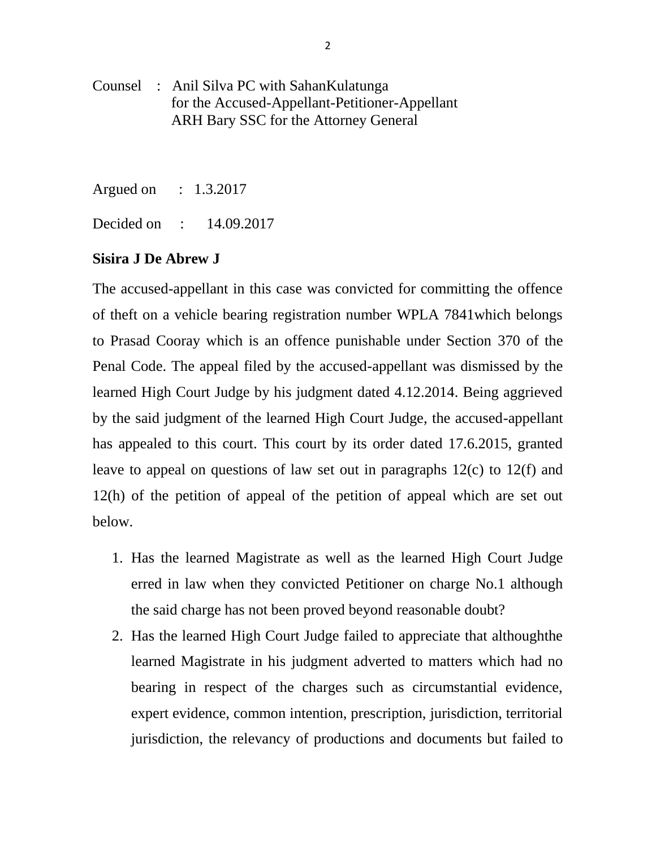- Counsel : Anil Silva PC with SahanKulatunga for the Accused-Appellant-Petitioner-Appellant ARH Bary SSC for the Attorney General
- Argued on : 1.3.2017

Decided on : 14.09.2017

### **Sisira J De Abrew J**

The accused-appellant in this case was convicted for committing the offence of theft on a vehicle bearing registration number WPLA 7841which belongs to Prasad Cooray which is an offence punishable under Section 370 of the Penal Code. The appeal filed by the accused-appellant was dismissed by the learned High Court Judge by his judgment dated 4.12.2014. Being aggrieved by the said judgment of the learned High Court Judge, the accused-appellant has appealed to this court. This court by its order dated 17.6.2015, granted leave to appeal on questions of law set out in paragraphs 12(c) to 12(f) and 12(h) of the petition of appeal of the petition of appeal which are set out below.

- 1. Has the learned Magistrate as well as the learned High Court Judge erred in law when they convicted Petitioner on charge No.1 although the said charge has not been proved beyond reasonable doubt?
- 2. Has the learned High Court Judge failed to appreciate that althoughthe learned Magistrate in his judgment adverted to matters which had no bearing in respect of the charges such as circumstantial evidence, expert evidence, common intention, prescription, jurisdiction, territorial jurisdiction, the relevancy of productions and documents but failed to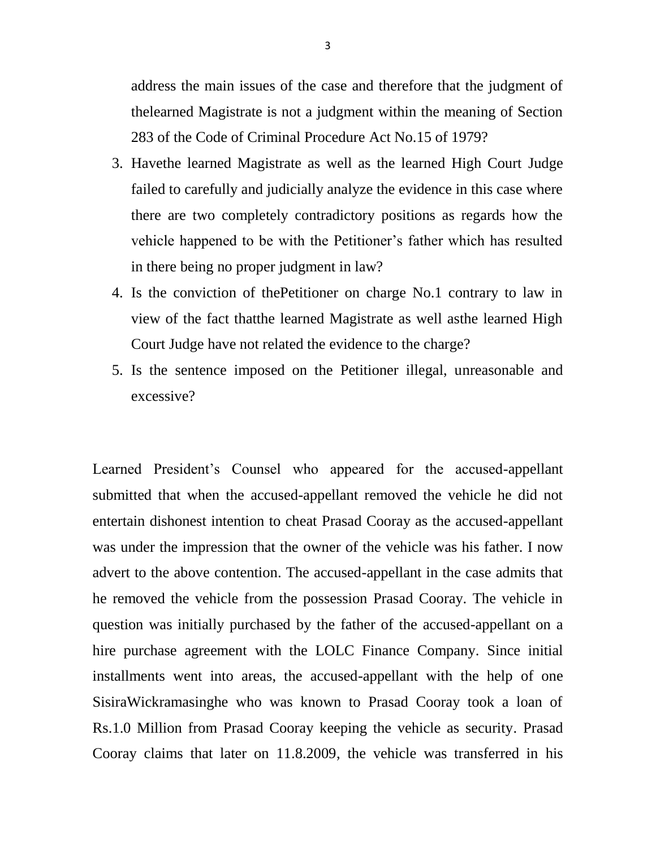address the main issues of the case and therefore that the judgment of thelearned Magistrate is not a judgment within the meaning of Section 283 of the Code of Criminal Procedure Act No.15 of 1979?

- 3. Havethe learned Magistrate as well as the learned High Court Judge failed to carefully and judicially analyze the evidence in this case where there are two completely contradictory positions as regards how the vehicle happened to be with the Petitioner's father which has resulted in there being no proper judgment in law?
- 4. Is the conviction of thePetitioner on charge No.1 contrary to law in view of the fact thatthe learned Magistrate as well asthe learned High Court Judge have not related the evidence to the charge?
- 5. Is the sentence imposed on the Petitioner illegal, unreasonable and excessive?

Learned President's Counsel who appeared for the accused-appellant submitted that when the accused-appellant removed the vehicle he did not entertain dishonest intention to cheat Prasad Cooray as the accused-appellant was under the impression that the owner of the vehicle was his father. I now advert to the above contention. The accused-appellant in the case admits that he removed the vehicle from the possession Prasad Cooray. The vehicle in question was initially purchased by the father of the accused-appellant on a hire purchase agreement with the LOLC Finance Company. Since initial installments went into areas, the accused-appellant with the help of one SisiraWickramasinghe who was known to Prasad Cooray took a loan of Rs.1.0 Million from Prasad Cooray keeping the vehicle as security. Prasad Cooray claims that later on 11.8.2009, the vehicle was transferred in his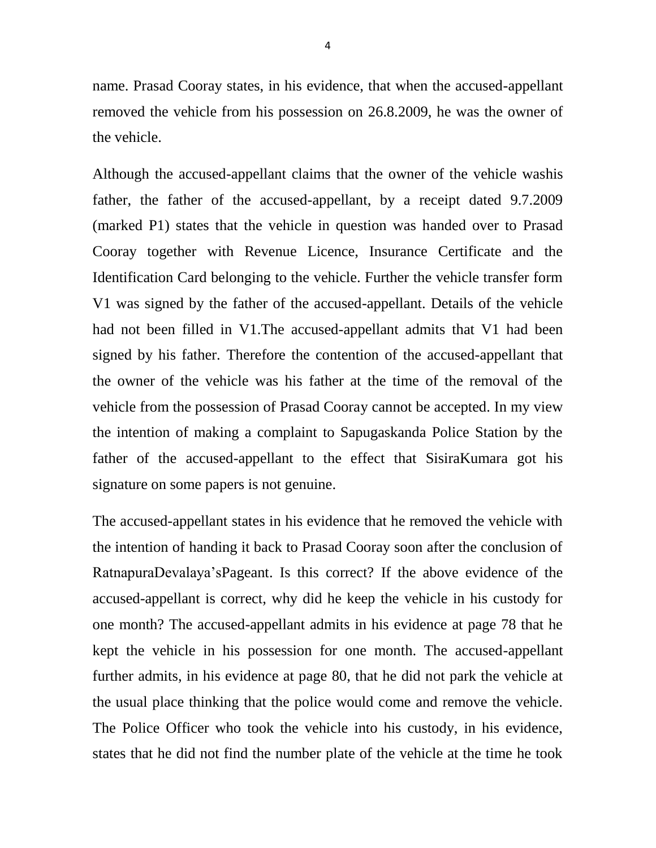name. Prasad Cooray states, in his evidence, that when the accused-appellant removed the vehicle from his possession on 26.8.2009, he was the owner of the vehicle.

Although the accused-appellant claims that the owner of the vehicle washis father, the father of the accused-appellant, by a receipt dated 9.7.2009 (marked P1) states that the vehicle in question was handed over to Prasad Cooray together with Revenue Licence, Insurance Certificate and the Identification Card belonging to the vehicle. Further the vehicle transfer form V1 was signed by the father of the accused-appellant. Details of the vehicle had not been filled in V1.The accused-appellant admits that V1 had been signed by his father. Therefore the contention of the accused-appellant that the owner of the vehicle was his father at the time of the removal of the vehicle from the possession of Prasad Cooray cannot be accepted. In my view the intention of making a complaint to Sapugaskanda Police Station by the father of the accused-appellant to the effect that SisiraKumara got his signature on some papers is not genuine.

The accused-appellant states in his evidence that he removed the vehicle with the intention of handing it back to Prasad Cooray soon after the conclusion of RatnapuraDevalaya'sPageant. Is this correct? If the above evidence of the accused-appellant is correct, why did he keep the vehicle in his custody for one month? The accused-appellant admits in his evidence at page 78 that he kept the vehicle in his possession for one month. The accused-appellant further admits, in his evidence at page 80, that he did not park the vehicle at the usual place thinking that the police would come and remove the vehicle. The Police Officer who took the vehicle into his custody, in his evidence, states that he did not find the number plate of the vehicle at the time he took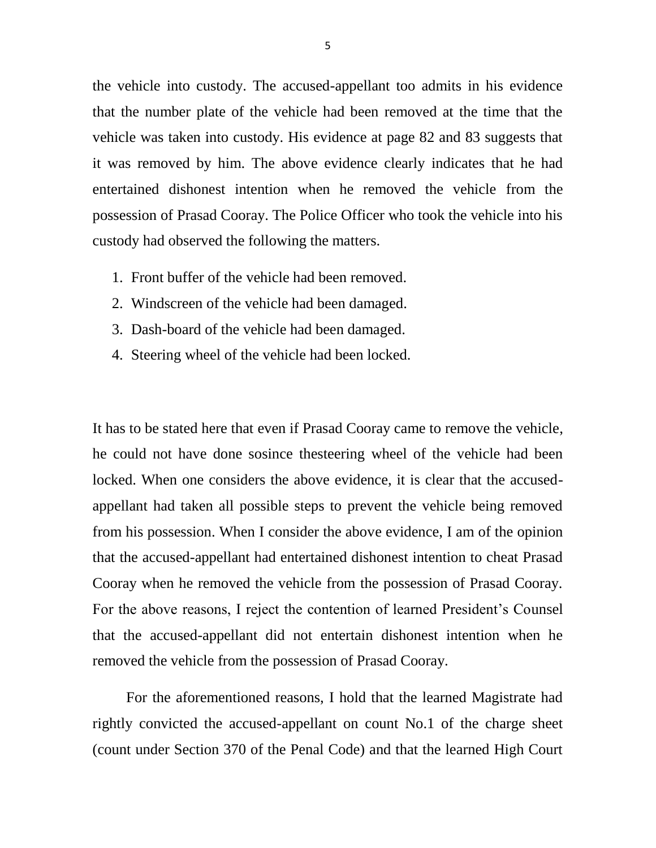the vehicle into custody. The accused-appellant too admits in his evidence that the number plate of the vehicle had been removed at the time that the vehicle was taken into custody. His evidence at page 82 and 83 suggests that it was removed by him. The above evidence clearly indicates that he had entertained dishonest intention when he removed the vehicle from the possession of Prasad Cooray. The Police Officer who took the vehicle into his custody had observed the following the matters.

- 1. Front buffer of the vehicle had been removed.
- 2. Windscreen of the vehicle had been damaged.
- 3. Dash-board of the vehicle had been damaged.
- 4. Steering wheel of the vehicle had been locked.

It has to be stated here that even if Prasad Cooray came to remove the vehicle, he could not have done sosince thesteering wheel of the vehicle had been locked. When one considers the above evidence, it is clear that the accusedappellant had taken all possible steps to prevent the vehicle being removed from his possession. When I consider the above evidence, I am of the opinion that the accused-appellant had entertained dishonest intention to cheat Prasad Cooray when he removed the vehicle from the possession of Prasad Cooray. For the above reasons, I reject the contention of learned President's Counsel that the accused-appellant did not entertain dishonest intention when he removed the vehicle from the possession of Prasad Cooray.

 For the aforementioned reasons, I hold that the learned Magistrate had rightly convicted the accused-appellant on count No.1 of the charge sheet (count under Section 370 of the Penal Code) and that the learned High Court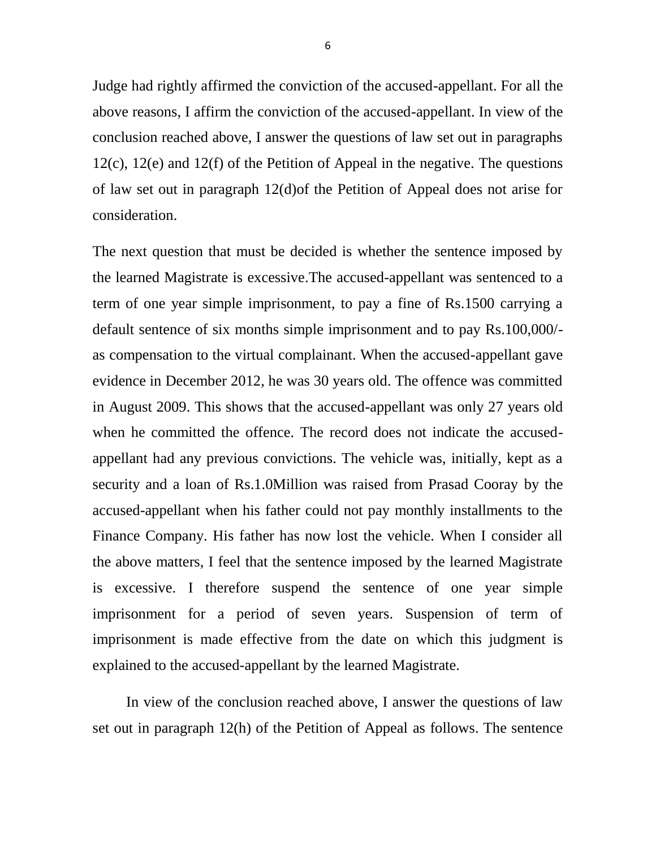Judge had rightly affirmed the conviction of the accused-appellant. For all the above reasons, I affirm the conviction of the accused-appellant. In view of the conclusion reached above, I answer the questions of law set out in paragraphs 12(c), 12(e) and 12(f) of the Petition of Appeal in the negative. The questions of law set out in paragraph 12(d)of the Petition of Appeal does not arise for consideration.

The next question that must be decided is whether the sentence imposed by the learned Magistrate is excessive.The accused-appellant was sentenced to a term of one year simple imprisonment, to pay a fine of Rs.1500 carrying a default sentence of six months simple imprisonment and to pay Rs.100,000/ as compensation to the virtual complainant. When the accused-appellant gave evidence in December 2012, he was 30 years old. The offence was committed in August 2009. This shows that the accused-appellant was only 27 years old when he committed the offence. The record does not indicate the accusedappellant had any previous convictions. The vehicle was, initially, kept as a security and a loan of Rs.1.0Million was raised from Prasad Cooray by the accused-appellant when his father could not pay monthly installments to the Finance Company. His father has now lost the vehicle. When I consider all the above matters, I feel that the sentence imposed by the learned Magistrate is excessive. I therefore suspend the sentence of one year simple imprisonment for a period of seven years. Suspension of term of imprisonment is made effective from the date on which this judgment is explained to the accused-appellant by the learned Magistrate.

 In view of the conclusion reached above, I answer the questions of law set out in paragraph 12(h) of the Petition of Appeal as follows. The sentence